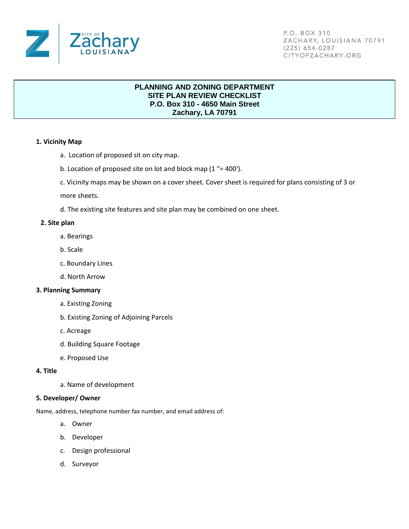

P.O. BOX 310 ZACHARY, LOUISIANA 70791  $(225) 654-0287$ CITYOFZACHARY.ORG

# **PLANNING AND ZONING DEPARTMENT SITE PLAN REVIEW CHECKLIST P.O. Box 310 - 4650 Main Street Zachary, LA 70791**

## **1. Vicinity Map**

- a. Location of proposed sit on city map.
- b. Location of proposed site on lot and block map (1 "= 400').
- c. Vicinity maps may be shown on a cover sheet. Cover sheet is required for plans consisting of 3 or

more sheets.

d. The existing site features and site plan may be combined on one sheet.

## **2. Site plan**

- a. Bearings
- b. Scale
- c. Boundary Lines
- d. North Arrow

### **3. Planning Summary**

- a. Existing Zoning
- b. Existing Zoning of Adjoining Parcels
- c. Acreage
- d. Building Square Footage
- e. Proposed Use

## **4. Title**

a. Name of development

### **5. Developer/ Owner**

Name, address, telephone number fax number, and email address of:

- a. Owner
- b. Developer
- c. Design professional
- d. Surveyor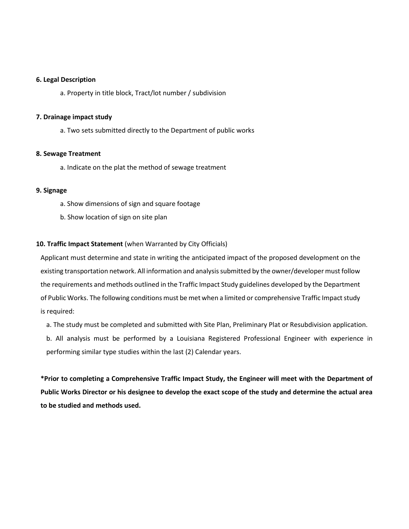#### **6. Legal Description**

a. Property in title block, Tract/lot number / subdivision

#### **7. Drainage impact study**

a. Two sets submitted directly to the Department of public works

#### **8. Sewage Treatment**

a. Indicate on the plat the method of sewage treatment

## **9. Signage**

- a. Show dimensions of sign and square footage
- b. Show location of sign on site plan

## **10. Traffic Impact Statement** (when Warranted by City Officials)

Applicant must determine and state in writing the anticipated impact of the proposed development on the existing transportation network. All information and analysis submitted by the owner/developer must follow the requirements and methods outlined in the Traffic Impact Study guidelines developed by the Department of Public Works. The following conditions must be met when a limited or comprehensive Traffic Impact study is required:

a. The study must be completed and submitted with Site Plan, Preliminary Plat or Resubdivision application.

b. All analysis must be performed by a Louisiana Registered Professional Engineer with experience in performing similar type studies within the last (2) Calendar years.

**\*Prior to completing a Comprehensive Traffic Impact Study, the Engineer will meet with the Department of Public Works Director or his designee to develop the exact scope of the study and determine the actual area to be studied and methods used.**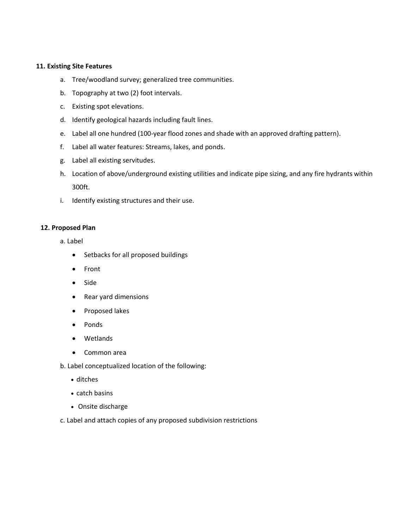## **11. Existing Site Features**

- a. Tree/woodland survey; generalized tree communities.
- b. Topography at two (2) foot intervals.
- c. Existing spot elevations.
- d. Identify geological hazards including fault lines.
- e. Label all one hundred (100-year flood zones and shade with an approved drafting pattern).
- f. Label all water features: Streams, lakes, and ponds.
- g. Label all existing servitudes.
- h. Location of above/underground existing utilities and indicate pipe sizing, and any fire hydrants within 300ft.
- i. Identify existing structures and their use.

## **12. Proposed Plan**

a. Label

- Setbacks for all proposed buildings
- Front
- Side
- Rear yard dimensions
- Proposed lakes
- Ponds
- Wetlands
- Common area
- b. Label conceptualized location of the following:
	- ditches
	- catch basins
	- Onsite discharge

c. Label and attach copies of any proposed subdivision restrictions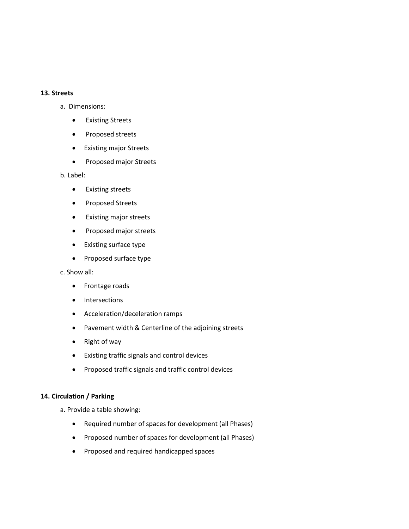### **13. Streets**

- a. Dimensions:
	- Existing Streets
	- Proposed streets
	- Existing major Streets
	- Proposed major Streets

b. Label:

- Existing streets
- Proposed Streets
- Existing major streets
- Proposed major streets
- Existing surface type
- Proposed surface type

c. Show all:

- Frontage roads
- Intersections
- Acceleration/deceleration ramps
- Pavement width & Centerline of the adjoining streets
- Right of way
- Existing traffic signals and control devices
- Proposed traffic signals and traffic control devices

## **14. Circulation / Parking**

a. Provide a table showing:

- Required number of spaces for development (all Phases)
- Proposed number of spaces for development (all Phases)
- Proposed and required handicapped spaces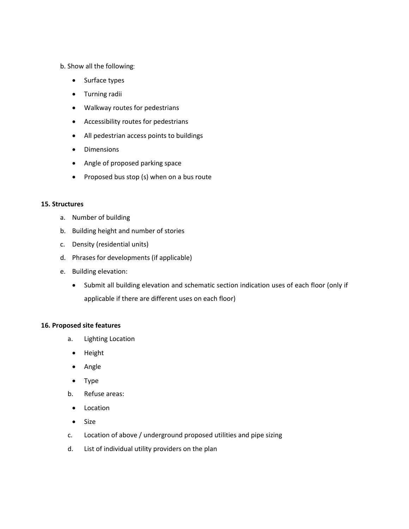## b. Show all the following

- Surface types
- Turning radii
- Walkway routes for pedestrians
- Accessibility routes for pedestrians
- All pedestrian access points to buildings
- Dimensions
- Angle of proposed parking space
- Proposed bus stop (s) when on a bus route

## **15. Structures**

- a. Number of building
- b. Building height and number of stories
- c. Density (residential units)
- d. Phrases for developments (if applicable)
- e. Building elevation:
	- Submit all building elevation and schematic section indication uses of each floor (only if applicable if there are different uses on each floor)

# **16. Proposed site features**

- a. Lighting Location
	- Height
	- Angle
	- Type
- b. Refuse areas:
- Location
- Size
- c. Location of above / underground proposed utilities and pipe sizing
- d. List of individual utility providers on the plan